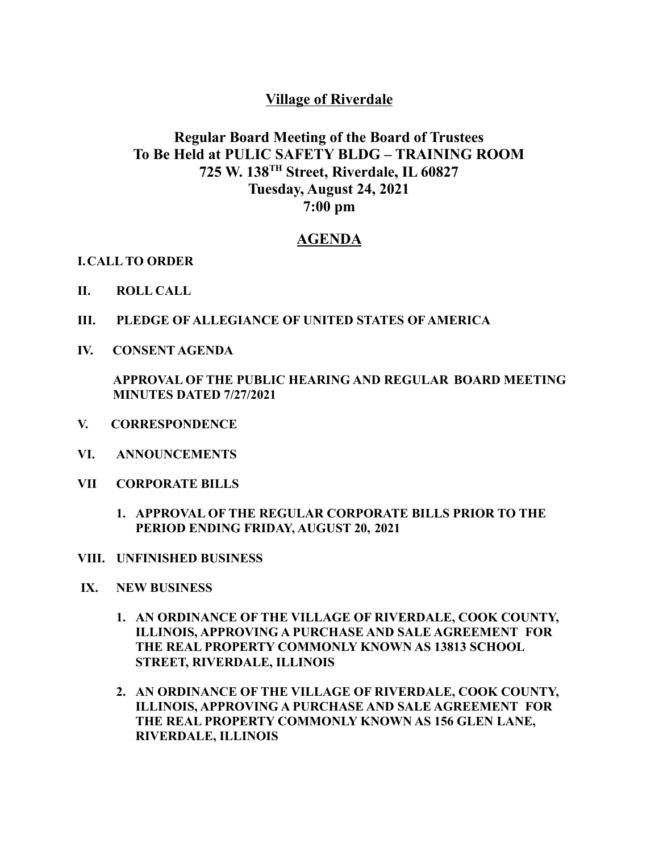## **Village of Riverdale**

## **Regular Board Meeting of the Board of Trustees To Be Held at PULIC SAFETY BLDG – TRAINING ROOM 725 W. 138 TH Street, Riverdale, IL 60827 Tuesday, August 24, 2021 7:00 pm**

## **AGENDA**

**I.CALL TO ORDER**

- **II. ROLL CALL**
- **III. PLEDGE OF ALLEGIANCE OF UNITED STATES OF AMERICA**
- **IV. CONSENT AGENDA**

**APPROVAL OF THE PUBLIC HEARING AND REGULAR BOARD MEETING MINUTES DATED 7/27/2021**

- **V. CORRESPONDENCE**
- **VI. ANNOUNCEMENTS**
- **VII CORPORATE BILLS**
	- **1. APPROVAL OF THE REGULAR CORPORATE BILLS PRIOR TO THE PERIOD ENDING FRIDAY, AUGUST 20, 2021**
- **VIII. UNFINISHED BUSINESS**
- **IX. NEW BUSINESS**
	- **1. AN ORDINANCE OF THE VILLAGE OF RIVERDALE, COOK COUNTY, ILLINOIS, APPROVING A PURCHASE AND SALE AGREEMENT FOR THE REAL PROPERTY COMMONLY KNOWN AS 13813 SCHOOL STREET, RIVERDALE, ILLINOIS**
	- **2. AN ORDINANCE OF THE VILLAGE OF RIVERDALE, COOK COUNTY, ILLINOIS, APPROVING A PURCHASE AND SALE AGREEMENT FOR THE REAL PROPERTY COMMONLY KNOWN AS 156 GLEN LANE, RIVERDALE, ILLINOIS**